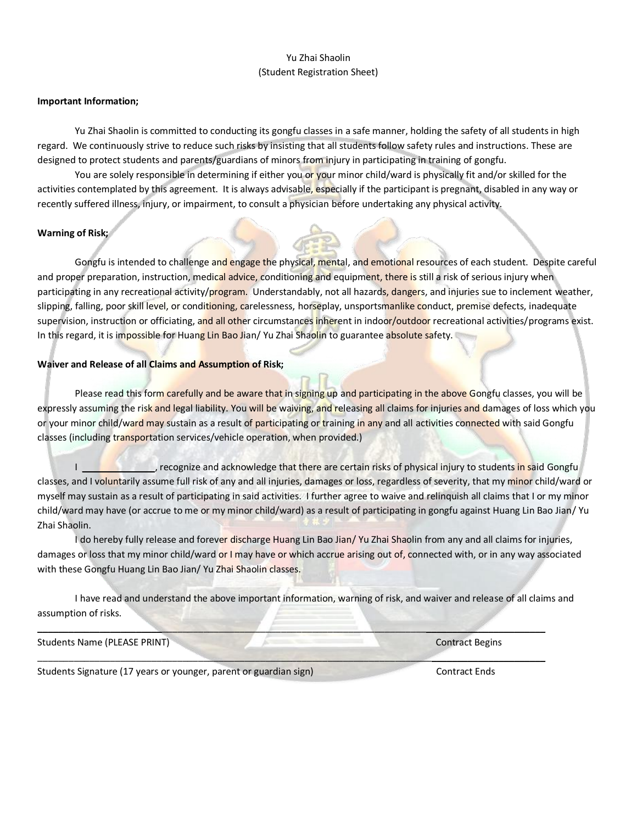## Yu Zhai Shaolin (Student Registration Sheet)

## **Important Information;**

Yu Zhai Shaolin is committed to conducting its gongfu classes in a safe manner, holding the safety of all students in high regard. We continuously strive to reduce such risks by insisting that all students follow safety rules and instructions. These are designed to protect students and parents/guardians of minors from injury in participating in training of gongfu.

You are solely responsible in determining if either you or your minor child/ward is physically fit and/or skilled for the activities contemplated by this agreement. It is always advisable, especially if the participant is pregnant, disabled in any way or recently suffered illness, injury, or impairment, to consult a physician before undertaking any physical activity.

## **Warning of Risk;**

Gongfu is intended to challenge and engage the physical, mental, and emotional resources of each student. Despite careful and proper preparation, instruction, medical advice, conditioning and equipment, there is still a risk of serious injury when participating in any recreational activity/program. Understandably, not all hazards, dangers, and injuries sue to inclement weather, slipping, falling, poor skill level, or conditioning, carelessness, horseplay, unsportsmanlike conduct, premise defects, inadequate supervision, instruction or officiating, and all other circumstances inherent in indoor/outdoor recreational activities/programs exist. In this regard, it is impossible for Huang Lin Bao Jian/Yu Zhai Shaolin to guarantee absolute safety.

## **Waiver and Release of all Claims and Assumption of Risk;**

Please read this form carefully and be aware that in signing up and participating in the above Gongfu classes, you will be expressly assuming the risk and legal liability. You will be waiving, and releasing all claims for injuries and damages of loss which you or your minor child/ward may sustain as a result of participating or training in any and all activities connected with said Gongfu classes (including transportation services/vehicle operation, when provided.)

I all the cognize and acknowledge that there are certain risks of physical injury to students in said Gongfu classes, and I voluntarily assume full risk of any and all injuries, damages or loss, regardless of severity, that my minor child/ward or myself may sustain as a result of participating in said activities. I further agree to waive and relinquish all claims that I or my minor child/ward may have (or accrue to me or my minor child/ward) as a result of participating in gongfu against Huang Lin Bao Jian/ Yu Zhai Shaolin.

I do hereby fully release and forever discharge Huang Lin Bao Jian/Yu Zhai Shaolin from any and all claims for injuries, damages or loss that my minor child/ward or I may have or which accrue arising out of, connected with, or in any way associated with these Gongfu Huang Lin Bao Jian/ Yu Zhai Shaolin classes.

I have read and understand the above important information, warning of risk, and waiver and release of all claims and assumption of risks.

 $\blacksquare$ 

\_\_\_\_\_\_\_\_\_\_\_\_\_\_\_\_\_\_\_\_\_\_\_\_\_\_\_\_\_\_\_\_\_\_\_\_\_\_\_\_\_\_\_\_\_\_\_\_\_\_\_\_\_\_\_\_\_\_\_\_\_\_\_\_\_\_\_\_\_\_\_\_\_\_\_\_\_\_\_\_\_\_\_\_\_\_\_\_\_\_\_\_\_\_\_\_\_\_

Students Name (PLEASE PRINT) Contract Begins Contract Begins

Students Signature (17 years or younger, parent or guardian sign) Contract Ends